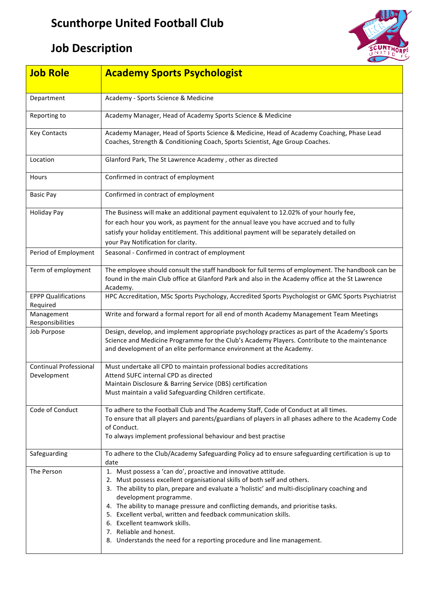## **Scunthorpe United Football Club**

## **Job Description**



| <b>Job Role</b>                              | <b>Academy Sports Psychologist</b>                                                                                                                                                                                                                                                                                                                                                                                                                                                                                                                                 |
|----------------------------------------------|--------------------------------------------------------------------------------------------------------------------------------------------------------------------------------------------------------------------------------------------------------------------------------------------------------------------------------------------------------------------------------------------------------------------------------------------------------------------------------------------------------------------------------------------------------------------|
|                                              |                                                                                                                                                                                                                                                                                                                                                                                                                                                                                                                                                                    |
| Department                                   | Academy - Sports Science & Medicine                                                                                                                                                                                                                                                                                                                                                                                                                                                                                                                                |
| Reporting to                                 | Academy Manager, Head of Academy Sports Science & Medicine                                                                                                                                                                                                                                                                                                                                                                                                                                                                                                         |
| <b>Key Contacts</b>                          | Academy Manager, Head of Sports Science & Medicine, Head of Academy Coaching, Phase Lead<br>Coaches, Strength & Conditioning Coach, Sports Scientist, Age Group Coaches.                                                                                                                                                                                                                                                                                                                                                                                           |
| Location                                     | Glanford Park, The St Lawrence Academy, other as directed                                                                                                                                                                                                                                                                                                                                                                                                                                                                                                          |
| Hours                                        | Confirmed in contract of employment                                                                                                                                                                                                                                                                                                                                                                                                                                                                                                                                |
| <b>Basic Pay</b>                             | Confirmed in contract of employment                                                                                                                                                                                                                                                                                                                                                                                                                                                                                                                                |
| <b>Holiday Pay</b>                           | The Business will make an additional payment equivalent to 12.02% of your hourly fee,<br>for each hour you work, as payment for the annual leave you have accrued and to fully<br>satisfy your holiday entitlement. This additional payment will be separately detailed on<br>your Pay Notification for clarity.                                                                                                                                                                                                                                                   |
| Period of Employment                         | Seasonal - Confirmed in contract of employment                                                                                                                                                                                                                                                                                                                                                                                                                                                                                                                     |
| Term of employment                           | The employee should consult the staff handbook for full terms of employment. The handbook can be<br>found in the main Club office at Glanford Park and also in the Academy office at the St Lawrence<br>Academy.                                                                                                                                                                                                                                                                                                                                                   |
| <b>EPPP Qualifications</b><br>Required       | HPC Accreditation, MSc Sports Psychology, Accredited Sports Psychologist or GMC Sports Psychiatrist                                                                                                                                                                                                                                                                                                                                                                                                                                                                |
| Management<br>Responsibilities               | Write and forward a formal report for all end of month Academy Management Team Meetings                                                                                                                                                                                                                                                                                                                                                                                                                                                                            |
| Job Purpose                                  | Design, develop, and implement appropriate psychology practices as part of the Academy's Sports<br>Science and Medicine Programme for the Club's Academy Players. Contribute to the maintenance<br>and development of an elite performance environment at the Academy.                                                                                                                                                                                                                                                                                             |
| <b>Continual Professional</b><br>Development | Must undertake all CPD to maintain professional bodies accreditations<br>Attend SUFC internal CPD as directed<br>Maintain Disclosure & Barring Service (DBS) certification<br>Must maintain a valid Safeguarding Children certificate.                                                                                                                                                                                                                                                                                                                             |
| Code of Conduct                              | To adhere to the Football Club and The Academy Staff, Code of Conduct at all times.<br>To ensure that all players and parents/guardians of players in all phases adhere to the Academy Code<br>of Conduct.<br>To always implement professional behaviour and best practise                                                                                                                                                                                                                                                                                         |
| Safeguarding                                 | To adhere to the Club/Academy Safeguarding Policy ad to ensure safeguarding certification is up to<br>date                                                                                                                                                                                                                                                                                                                                                                                                                                                         |
| The Person                                   | 1. Must possess a 'can do', proactive and innovative attitude.<br>2. Must possess excellent organisational skills of both self and others.<br>3. The ability to plan, prepare and evaluate a 'holistic' and multi-disciplinary coaching and<br>development programme.<br>4. The ability to manage pressure and conflicting demands, and prioritise tasks.<br>5. Excellent verbal, written and feedback communication skills.<br>6. Excellent teamwork skills.<br>7. Reliable and honest.<br>8. Understands the need for a reporting procedure and line management. |